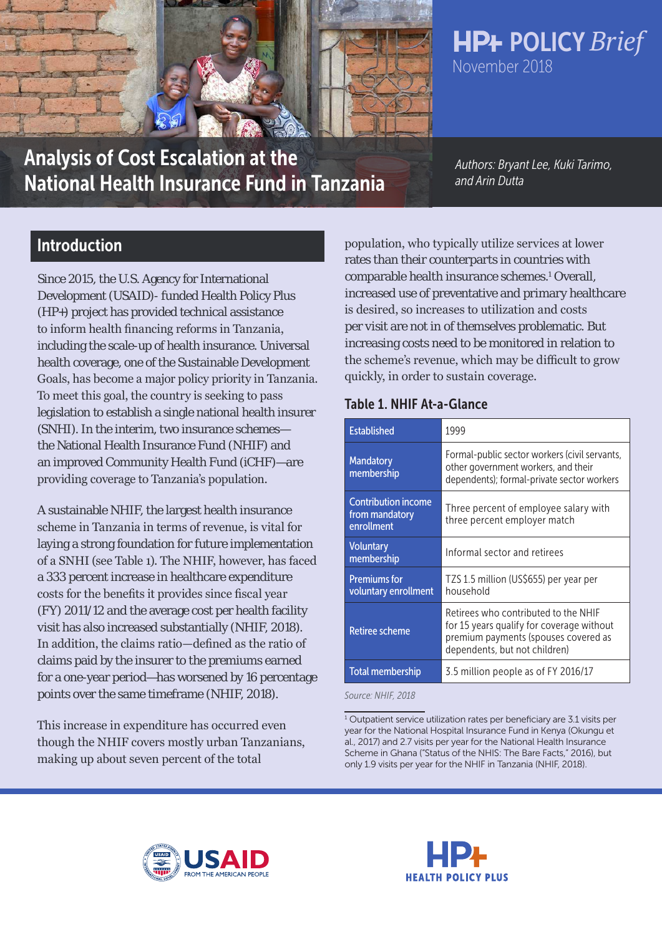

Analysis of Cost Escalation at the National Health Insurance Fund in Tanzania

*Authors: Bryant Lee, Kuki Tarimo, and Arin Dutta*

# Introduction

Since 2015, the U.S. Agency for International Development (USAID)- funded Health Policy Plus (HP+) project has provided technical assistance to inform health financing reforms in Tanzania, including the scale-up of health insurance. Universal health coverage, one of the Sustainable Development Goals, has become a major policy priority in Tanzania. To meet this goal, the country is seeking to pass legislation to establish a single national health insurer (SNHI). In the interim, two insurance schemes the National Health Insurance Fund (NHIF) and an improved Community Health Fund (iCHF)—are providing coverage to Tanzania's population.

A sustainable NHIF, the largest health insurance scheme in Tanzania in terms of revenue, is vital for laying a strong foundation for future implementation of a SNHI (see Table 1). The NHIF, however, has faced a 333 percent increase in healthcare expenditure costs for the benefits it provides since fiscal year (FY) 2011/12 and the average cost per health facility visit has also increased substantially (NHIF, 2018). In addition, the claims ratio—defined as the ratio of claims paid by the insurer to the premiums earned for a one-year period—has worsened by 16 percentage points over the same timeframe (NHIF, 2018).

This increase in expenditure has occurred even though the NHIF covers mostly urban Tanzanians, making up about seven percent of the total

population, who typically utilize services at lower rates than their counterparts in countries with comparable health insurance schemes.<sup>1</sup> Overall, increased use of preventative and primary healthcare is desired, so increases to utilization and costs per visit are not in of themselves problematic. But increasing costs need to be monitored in relation to the scheme's revenue, which may be difficult to grow quickly, in order to sustain coverage.

### Table 1. NHIF At-a-Glance

| <b>Established</b>                                         | 1999                                                                                                                                                       |  |  |  |
|------------------------------------------------------------|------------------------------------------------------------------------------------------------------------------------------------------------------------|--|--|--|
| <b>Mandatory</b><br>membership                             | Formal-public sector workers (civil servants,<br>other government workers, and their<br>dependents); formal-private sector workers                         |  |  |  |
| <b>Contribution income</b><br>from mandatory<br>enrollment | Three percent of employee salary with<br>three percent employer match                                                                                      |  |  |  |
| <b>Voluntary</b><br>membership                             | Informal sector and retirees                                                                                                                               |  |  |  |
| <b>Premiums for</b><br>voluntary enrollment                | TZS 1.5 million (US\$655) per year per<br>household                                                                                                        |  |  |  |
| <b>Retiree scheme</b>                                      | Retirees who contributed to the NHIF<br>for 15 years qualify for coverage without<br>premium payments (spouses covered as<br>dependents, but not children) |  |  |  |
| <b>Total membership</b>                                    | 3.5 million people as of FY 2016/17                                                                                                                        |  |  |  |

*Source: NHIF, 2018*





# **HP+ POLICY Brief** November 2018

<sup>&</sup>lt;sup>1</sup> Outpatient service utilization rates per beneficiary are 3.1 visits per year for the National Hospital Insurance Fund in Kenya (Okungu et al., 2017) and 2.7 visits per year for the National Health Insurance Scheme in Ghana ("Status of the NHIS: The Bare Facts," 2016), but only 1.9 visits per year for the NHIF in Tanzania (NHIF, 2018).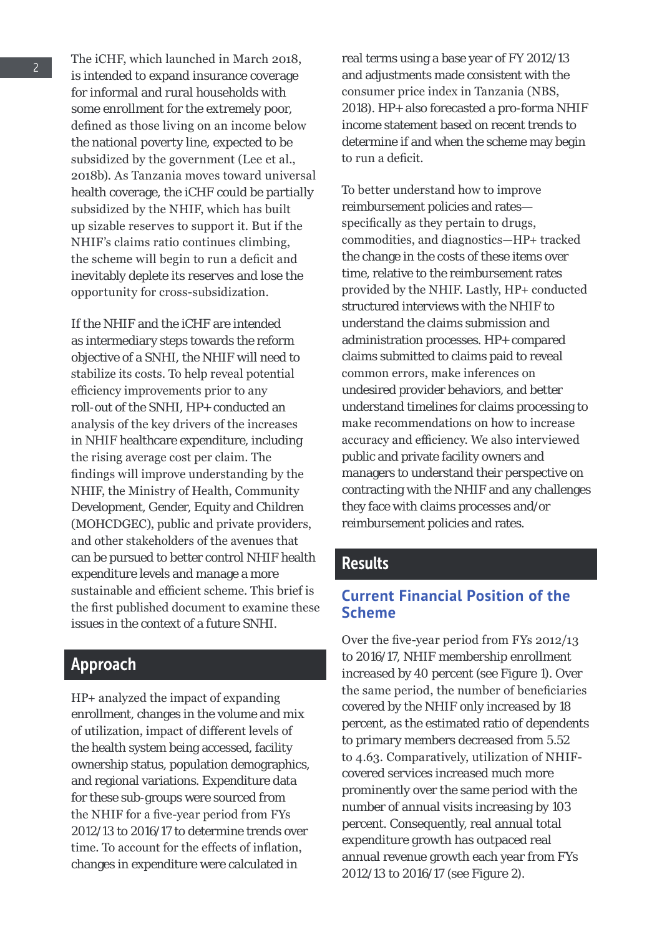The iCHF, which launched in March 2018, is intended to expand insurance coverage for informal and rural households with some enrollment for the extremely poor, defined as those living on an income below the national poverty line, expected to be subsidized by the government (Lee et al., 2018b). As Tanzania moves toward universal health coverage, the iCHF could be partially subsidized by the NHIF, which has built up sizable reserves to support it. But if the NHIF's claims ratio continues climbing, the scheme will begin to run a deficit and inevitably deplete its reserves and lose the opportunity for cross-subsidization.

If the NHIF and the iCHF are intended as intermediary steps towards the reform objective of a SNHI, the NHIF will need to stabilize its costs. To help reveal potential efficiency improvements prior to any roll-out of the SNHI, HP+ conducted an analysis of the key drivers of the increases in NHIF healthcare expenditure, including the rising average cost per claim. The findings will improve understanding by the NHIF, the Ministry of Health, Community Development, Gender, Equity and Children (MOHCDGEC), public and private providers, and other stakeholders of the avenues that can be pursued to better control NHIF health expenditure levels and manage a more sustainable and efficient scheme. This brief is the first published document to examine these issues in the context of a future SNHI.

## Approach

HP+ analyzed the impact of expanding enrollment, changes in the volume and mix of utilization, impact of different levels of the health system being accessed, facility ownership status, population demographics, and regional variations. Expenditure data for these sub-groups were sourced from the NHIF for a five-year period from FYs 2012/13 to 2016/17 to determine trends over time. To account for the effects of inflation, changes in expenditure were calculated in

real terms using a base year of FY 2012/13 and adjustments made consistent with the consumer price index in Tanzania (NBS, 2018). HP+ also forecasted a pro-forma NHIF income statement based on recent trends to determine if and when the scheme may begin to run a deficit.

To better understand how to improve reimbursement policies and rates specifically as they pertain to drugs, commodities, and diagnostics—HP+ tracked the change in the costs of these items over time, relative to the reimbursement rates provided by the NHIF. Lastly, HP+ conducted structured interviews with the NHIF to understand the claims submission and administration processes. HP+ compared claims submitted to claims paid to reveal common errors, make inferences on undesired provider behaviors, and better understand timelines for claims processing to make recommendations on how to increase accuracy and efficiency. We also interviewed public and private facility owners and managers to understand their perspective on contracting with the NHIF and any challenges they face with claims processes and/or reimbursement policies and rates.

### **Results**

### **Current Financial Position of the Scheme**

Over the five-year period from FYs 2012/13 to 2016/17, NHIF membership enrollment increased by 40 percent (see Figure 1). Over the same period, the number of beneficiaries covered by the NHIF only increased by 18 percent, as the estimated ratio of dependents to primary members decreased from 5.52 to 4.63. Comparatively, utilization of NHIFcovered services increased much more prominently over the same period with the number of annual visits increasing by 103 percent. Consequently, real annual total expenditure growth has outpaced real annual revenue growth each year from FYs 2012/13 to 2016/17 (see Figure 2).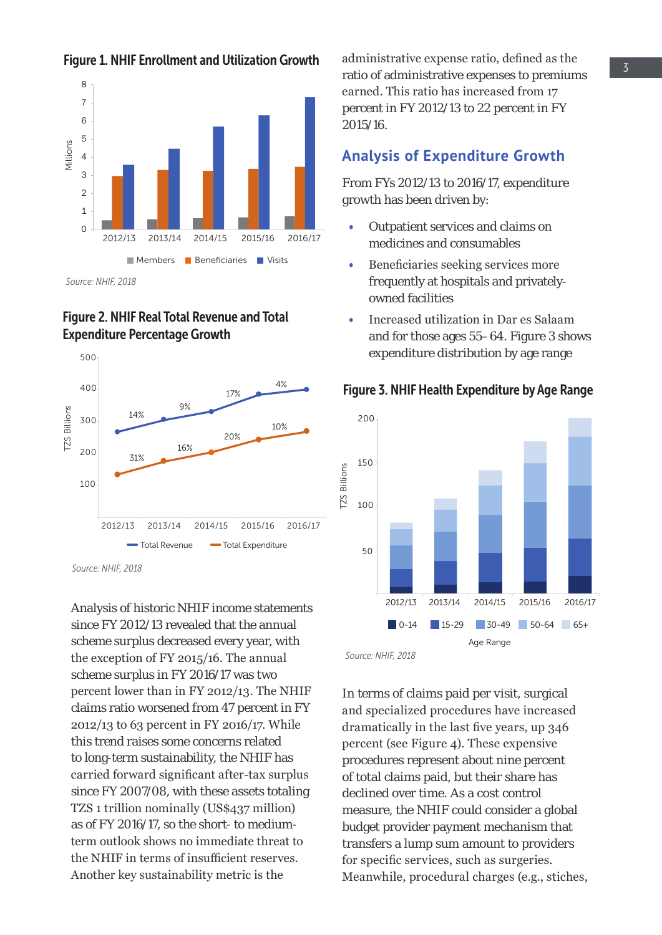



*Source: NHIF, 2018*

#### Figure 2. NHIF Real Total Revenue and Total Expenditure Percentage Growth



*Source: NHIF, 2018*

Analysis of historic NHIF income statements since FY 2012/13 revealed that the annual scheme surplus decreased every year, with the exception of FY 2015/16. The annual scheme surplus in FY 2016/17 was two percent lower than in FY 2012/13. The NHIF claims ratio worsened from 47 percent in FY 2012/13 to 63 percent in FY 2016/17. While this trend raises some concerns related to long-term sustainability, the NHIF has carried forward significant after-tax surplus since FY 2007/08, with these assets totaling TZS 1 trillion nominally (US\$437 million) as of FY 2016/17, so the short- to mediumterm outlook shows no immediate threat to the NHIF in terms of insufficient reserves. Another key sustainability metric is the

administrative expense ratio, defined as the ratio of administrative expenses to premiums earned. This ratio has increased from 17 percent in FY 2012/13 to 22 percent in FY 2015/16.

#### **Analysis of Expenditure Growth**

From FYs 2012/13 to 2016/17, expenditure growth has been driven by:

- Outpatient services and claims on medicines and consumables
- Beneficiaries seeking services more frequently at hospitals and privatelyowned facilities
- Increased utilization in Dar es Salaam and for those ages 55–64. Figure 3 shows expenditure distribution by age range



#### Figure 3. NHIF Health Expenditure by Age Range

In terms of claims paid per visit, surgical and specialized procedures have increased dramatically in the last five years, up 346 percent (see Figure 4). These expensive procedures represent about nine percent of total claims paid, but their share has declined over time. As a cost control measure, the NHIF could consider a global budget provider payment mechanism that transfers a lump sum amount to providers for specific services, such as surgeries. Meanwhile, procedural charges (e.g., stiches,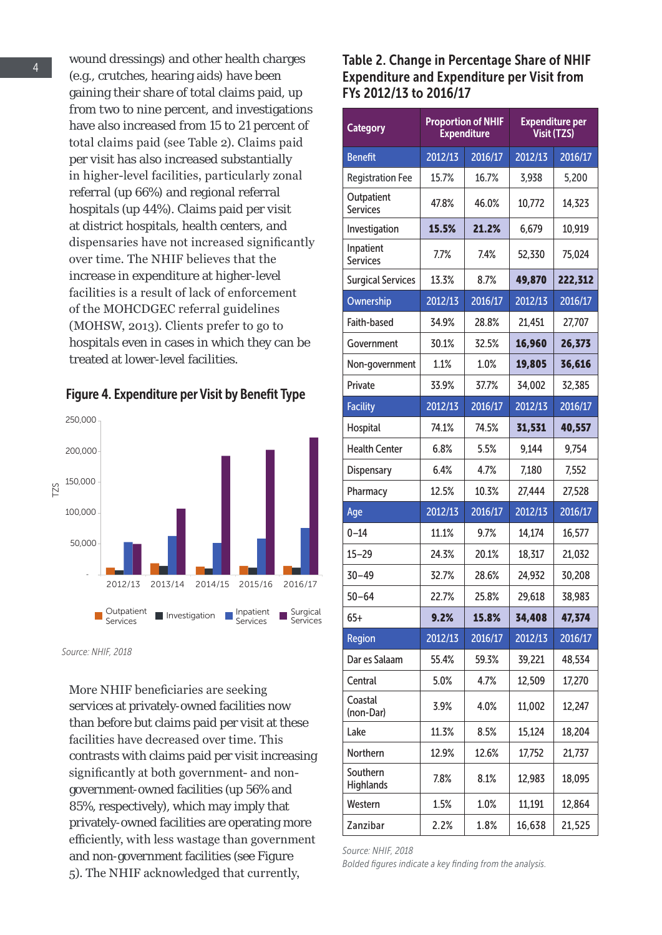wound dressings) and other health charges (e.g., crutches, hearing aids) have been gaining their share of total claims paid, up from two to nine percent, and investigations have also increased from 15 to 21 percent of total claims paid (see Table 2). Claims paid per visit has also increased substantially in higher-level facilities, particularly zonal referral (up 66%) and regional referral hospitals (up 44%). Claims paid per visit at district hospitals, health centers, and dispensaries have not increased significantly over time. The NHIF believes that the increase in expenditure at higher-level facilities is a result of lack of enforcement of the MOHCDGEC referral guidelines (MOHSW, 2013). Clients prefer to go to hospitals even in cases in which they can be treated at lower-level facilities.



Figure 4. Expenditure per Visit by Benefit Type

*Source: NHIF, 2018*

More NHIF beneficiaries are seeking services at privately-owned facilities now than before but claims paid per visit at these facilities have decreased over time. This contrasts with claims paid per visit increasing significantly at both government- and nongovernment-owned facilities (up 56% and 85%, respectively), which may imply that privately-owned facilities are operating more efficiently, with less wastage than government and non-government facilities (see Figure 5). The NHIF acknowledged that currently,

Table 2. Change in Percentage Share of NHIF Expenditure and Expenditure per Visit from FYs 2012/13 to 2016/17

| <b>Category</b>               | <b>Proportion of NHIF</b><br><b>Expenditure</b> |         | <b>Expenditure per</b><br>Visit (TZS) |         |
|-------------------------------|-------------------------------------------------|---------|---------------------------------------|---------|
| <b>Benefit</b>                | 2012/13                                         | 2016/17 | 2012/13                               | 2016/17 |
| <b>Registration Fee</b>       | 15.7%                                           | 16.7%   | 3,938                                 | 5,200   |
| Outpatient<br><b>Services</b> | 47.8%                                           | 46.0%   | 10,772                                | 14,323  |
| Investigation                 | 15.5%                                           | 21.2%   | 6,679                                 | 10,919  |
| Inpatient<br><b>Services</b>  | 7.7%                                            | 7.4%    | 52,330                                | 75,024  |
| <b>Surgical Services</b>      | 13.3%                                           | 8.7%    | 49,870                                | 222,312 |
| Ownership                     | 2012/13                                         | 2016/17 | 2012/13                               | 2016/17 |
| Faith-based                   | 34.9%                                           | 28.8%   | 21,451                                | 27,707  |
| Government                    | 30.1%                                           | 32.5%   | 16,960                                | 26,373  |
| Non-government                | 1.1%                                            | 1.0%    | 19,805                                | 36,616  |
| Private                       | 33.9%                                           | 37.7%   | 34,002                                | 32,385  |
| <b>Facility</b>               | 2012/13                                         | 2016/17 | 2012/13                               | 2016/17 |
| Hospital                      | 74.1%                                           | 74.5%   | 31,531                                | 40,557  |
| <b>Health Center</b>          | 6.8%                                            | 5.5%    | 9,144                                 | 9,754   |
| Dispensary                    | 6.4%                                            | 4.7%    | 7,180                                 | 7,552   |
| Pharmacy                      | 12.5%                                           | 10.3%   | 27,444                                | 27,528  |
| Age                           | 2012/13                                         | 2016/17 | 2012/13                               | 2016/17 |
| $0 - 14$                      | 11.1%                                           | 9.7%    | 14,174                                | 16,577  |
| $15 - 29$                     | 24.3%                                           | 20.1%   | 18,317                                | 21,032  |
| $30 - 49$                     | 32.7%                                           | 28.6%   | 24,932                                | 30,208  |
| $50 - 64$                     | 22.7%                                           | 25.8%   | 29,618                                | 38,983  |
| $65+$                         | 9.2%                                            | 15.8%   | 34,408                                | 47,374  |
| Region                        | 2012/13                                         | 2016/17 | 2012/13                               | 2016/17 |
| Dar es Salaam                 | 55.4%                                           | 59.3%   | 39,221                                | 48,534  |
| Central                       | 5.0%                                            | 4.7%    | 12,509                                | 17,270  |
| Coastal<br>(non-Dar)          | 3.9%                                            | 4.0%    | 11,002                                | 12,247  |
| Lake                          | 11.3%                                           | 8.5%    | 15,124                                | 18,204  |
| Northern                      | 12.9%                                           | 12.6%   | 17,752                                | 21,737  |
| Southern<br><b>Highlands</b>  | 7.8%                                            | 8.1%    | 12,983                                | 18,095  |
| Western                       | 1.5%                                            | 1.0%    | 11,191                                | 12,864  |
| Zanzibar                      | 2.2%                                            | 1.8%    | 16,638                                | 21,525  |

*Source: NHIF, 2018*

*Bolded figures indicate a key finding from the analysis.*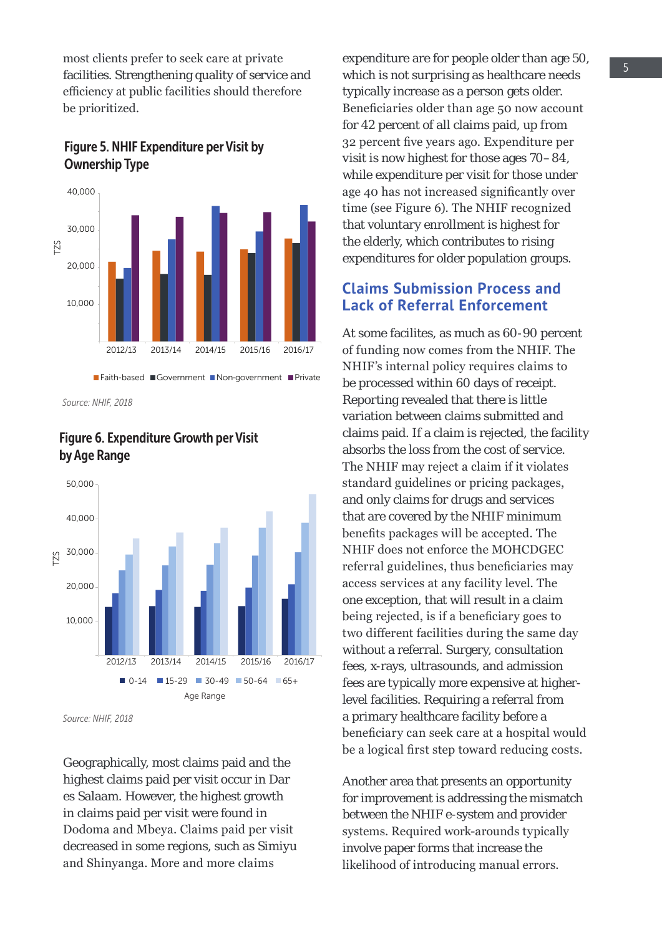most clients prefer to seek care at private facilities. Strengthening quality of service and efficiency at public facilities should therefore be prioritized.



### Figure 5. NHIF Expenditure per Visit by Ownership Type

*Source: NHIF, 2018*

#### Figure 6. Expenditure Growth per Visit by Age Range



*Source: NHIF, 2018*

Geographically, most claims paid and the highest claims paid per visit occur in Dar es Salaam. However, the highest growth in claims paid per visit were found in Dodoma and Mbeya. Claims paid per visit decreased in some regions, such as Simiyu and Shinyanga. More and more claims

expenditure are for people older than age 50, which is not surprising as healthcare needs typically increase as a person gets older. Beneficiaries older than age 50 now account for 42 percent of all claims paid, up from 32 percent five years ago. Expenditure per visit is now highest for those ages 70–84, while expenditure per visit for those under age 40 has not increased significantly over time (see Figure 6). The NHIF recognized that voluntary enrollment is highest for the elderly, which contributes to rising expenditures for older population groups.

#### **Claims Submission Process and Lack of Referral Enforcement**

At some facilites, as much as 60-90 percent of funding now comes from the NHIF. The NHIF's internal policy requires claims to be processed within 60 days of receipt. Reporting revealed that there is little variation between claims submitted and claims paid. If a claim is rejected, the facility absorbs the loss from the cost of service. The NHIF may reject a claim if it violates standard guidelines or pricing packages, and only claims for drugs and services that are covered by the NHIF minimum benefits packages will be accepted. The NHIF does not enforce the MOHCDGEC referral guidelines, thus beneficiaries may access services at any facility level. The one exception, that will result in a claim being rejected, is if a beneficiary goes to two different facilities during the same day without a referral. Surgery, consultation fees, x-rays, ultrasounds, and admission fees are typically more expensive at higherlevel facilities. Requiring a referral from a primary healthcare facility before a beneficiary can seek care at a hospital would be a logical first step toward reducing costs.

Another area that presents an opportunity for improvement is addressing the mismatch between the NHIF e-system and provider systems. Required work-arounds typically involve paper forms that increase the likelihood of introducing manual errors.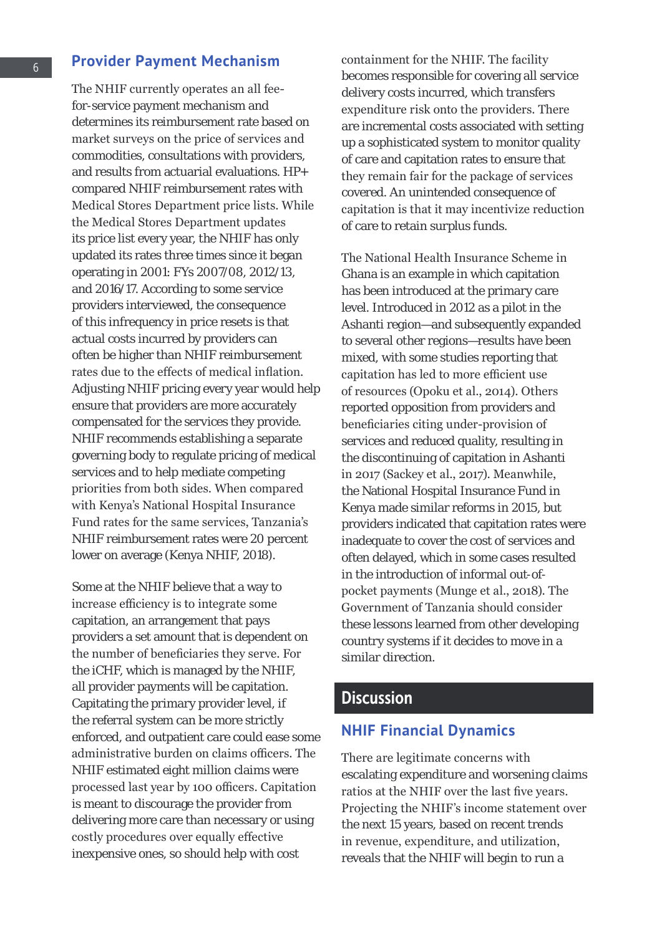#### **Provider Payment Mechanism**

The NHIF currently operates an all feefor-service payment mechanism and determines its reimbursement rate based on market surveys on the price of services and commodities, consultations with providers, and results from actuarial evaluations. HP+ compared NHIF reimbursement rates with Medical Stores Department price lists. While the Medical Stores Department updates its price list every year, the NHIF has only updated its rates three times since it began operating in 2001: FYs 2007/08, 2012/13, and 2016/17. According to some service providers interviewed, the consequence of this infrequency in price resets is that actual costs incurred by providers can often be higher than NHIF reimbursement rates due to the effects of medical inflation. Adjusting NHIF pricing every year would help ensure that providers are more accurately compensated for the services they provide. NHIF recommends establishing a separate governing body to regulate pricing of medical services and to help mediate competing priorities from both sides. When compared with Kenya's National Hospital Insurance Fund rates for the same services, Tanzania's NHIF reimbursement rates were 20 percent lower on average (Kenya NHIF, 2018).

Some at the NHIF believe that a way to increase efficiency is to integrate some capitation, an arrangement that pays providers a set amount that is dependent on the number of beneficiaries they serve. For the iCHF, which is managed by the NHIF, all provider payments will be capitation. Capitating the primary provider level, if the referral system can be more strictly enforced, and outpatient care could ease some administrative burden on claims officers. The NHIF estimated eight million claims were processed last year by 100 officers. Capitation is meant to discourage the provider from delivering more care than necessary or using costly procedures over equally effective inexpensive ones, so should help with cost

containment for the NHIF. The facility becomes responsible for covering all service delivery costs incurred, which transfers expenditure risk onto the providers. There are incremental costs associated with setting up a sophisticated system to monitor quality of care and capitation rates to ensure that they remain fair for the package of services covered. An unintended consequence of capitation is that it may incentivize reduction of care to retain surplus funds.

The National Health Insurance Scheme in Ghana is an example in which capitation has been introduced at the primary care level. Introduced in 2012 as a pilot in the Ashanti region—and subsequently expanded to several other regions—results have been mixed, with some studies reporting that capitation has led to more efficient use of resources (Opoku et al., 2014). Others reported opposition from providers and beneficiaries citing under-provision of services and reduced quality, resulting in the discontinuing of capitation in Ashanti in 2017 (Sackey et al., 2017). Meanwhile, the National Hospital Insurance Fund in Kenya made similar reforms in 2015, but providers indicated that capitation rates were inadequate to cover the cost of services and often delayed, which in some cases resulted in the introduction of informal out-ofpocket payments (Munge et al., 2018). The Government of Tanzania should consider these lessons learned from other developing country systems if it decides to move in a similar direction.

### **Discussion**

#### **NHIF Financial Dynamics**

There are legitimate concerns with escalating expenditure and worsening claims ratios at the NHIF over the last five years. Projecting the NHIF's income statement over the next 15 years, based on recent trends in revenue, expenditure, and utilization, reveals that the NHIF will begin to run a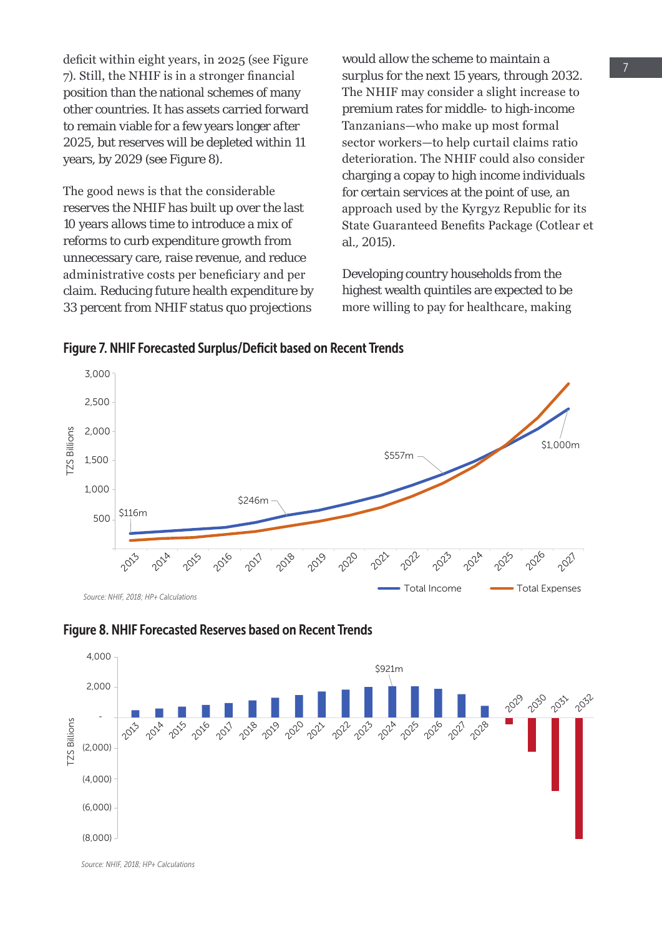deficit within eight years, in 2025 (see Figure 7). Still, the NHIF is in a stronger financial position than the national schemes of many other countries. It has assets carried forward to remain viable for a few years longer after 2025, but reserves will be depleted within 11 years, by 2029 (see Figure 8).

The good news is that the considerable reserves the NHIF has built up over the last 10 years allows time to introduce a mix of reforms to curb expenditure growth from unnecessary care, raise revenue, and reduce administrative costs per beneficiary and per claim. Reducing future health expenditure by 33 percent from NHIF status quo projections

would allow the scheme to maintain a surplus for the next 15 years, through 2032. The NHIF may consider a slight increase to premium rates for middle- to high-income Tanzanians—who make up most formal sector workers—to help curtail claims ratio deterioration. The NHIF could also consider charging a copay to high income individuals for certain services at the point of use, an approach used by the Kyrgyz Republic for its State Guaranteed Benefits Package (Cotlear et al., 2015).

Developing country households from the highest wealth quintiles are expected to be more willing to pay for healthcare, making

Figure 7. NHIF Forecasted Surplus/Deficit based on Recent Trends



*Source: NHIF, 2018; HP+ Calculations*





*Source: NHIF, 2018; HP+ Calculations*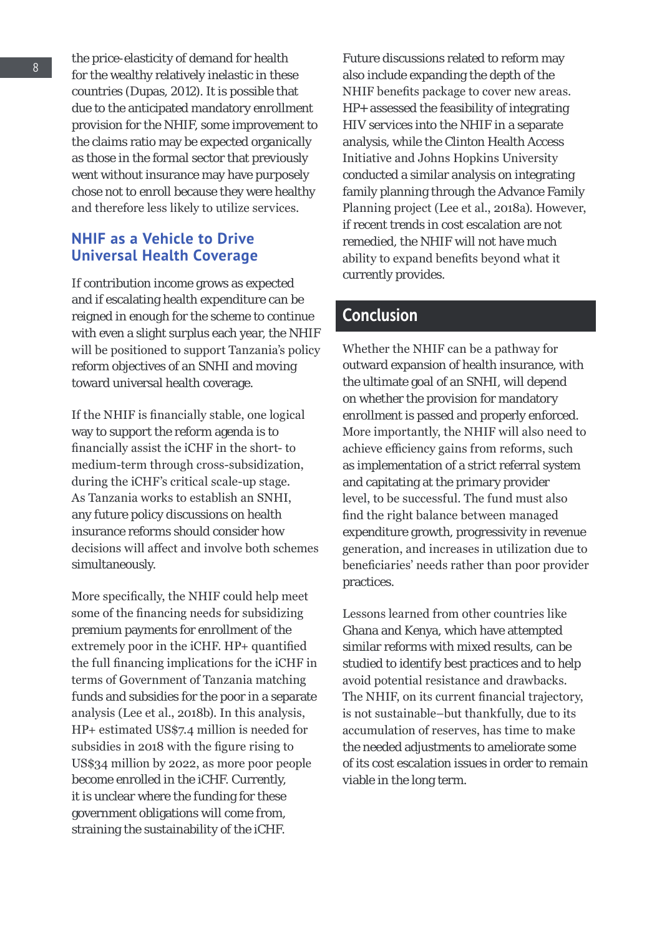the price-elasticity of demand for health for the wealthy relatively inelastic in these countries (Dupas, 2012). It is possible that due to the anticipated mandatory enrollment provision for the NHIF, some improvement to the claims ratio may be expected organically as those in the formal sector that previously went without insurance may have purposely chose not to enroll because they were healthy and therefore less likely to utilize services.

#### **NHIF as a Vehicle to Drive Universal Health Coverage**

If contribution income grows as expected and if escalating health expenditure can be reigned in enough for the scheme to continue with even a slight surplus each year, the NHIF will be positioned to support Tanzania's policy reform objectives of an SNHI and moving toward universal health coverage.

If the NHIF is financially stable, one logical way to support the reform agenda is to financially assist the iCHF in the short- to medium-term through cross-subsidization, during the iCHF's critical scale-up stage. As Tanzania works to establish an SNHI, any future policy discussions on health insurance reforms should consider how decisions will affect and involve both schemes simultaneously.

More specifically, the NHIF could help meet some of the financing needs for subsidizing premium payments for enrollment of the extremely poor in the iCHF. HP+ quantified the full financing implications for the iCHF in terms of Government of Tanzania matching funds and subsidies for the poor in a separate analysis (Lee et al., 2018b). In this analysis, HP+ estimated US\$7.4 million is needed for subsidies in 2018 with the figure rising to US\$34 million by 2022, as more poor people become enrolled in the iCHF. Currently, it is unclear where the funding for these government obligations will come from, straining the sustainability of the iCHF.

Future discussions related to reform may also include expanding the depth of the NHIF benefits package to cover new areas. HP+ assessed the feasibility of integrating HIV services into the NHIF in a separate analysis, while the Clinton Health Access Initiative and Johns Hopkins University conducted a similar analysis on integrating family planning through the Advance Family Planning project (Lee et al., 2018a). However, if recent trends in cost escalation are not remedied, the NHIF will not have much ability to expand benefits beyond what it currently provides.

### Conclusion

Whether the NHIF can be a pathway for outward expansion of health insurance, with the ultimate goal of an SNHI, will depend on whether the provision for mandatory enrollment is passed and properly enforced. More importantly, the NHIF will also need to achieve efficiency gains from reforms, such as implementation of a strict referral system and capitating at the primary provider level, to be successful. The fund must also find the right balance between managed expenditure growth, progressivity in revenue generation, and increases in utilization due to beneficiaries' needs rather than poor provider practices.

Lessons learned from other countries like Ghana and Kenya, which have attempted similar reforms with mixed results, can be studied to identify best practices and to help avoid potential resistance and drawbacks. The NHIF, on its current financial trajectory, is not sustainable–but thankfully, due to its accumulation of reserves, has time to make the needed adjustments to ameliorate some of its cost escalation issues in order to remain viable in the long term.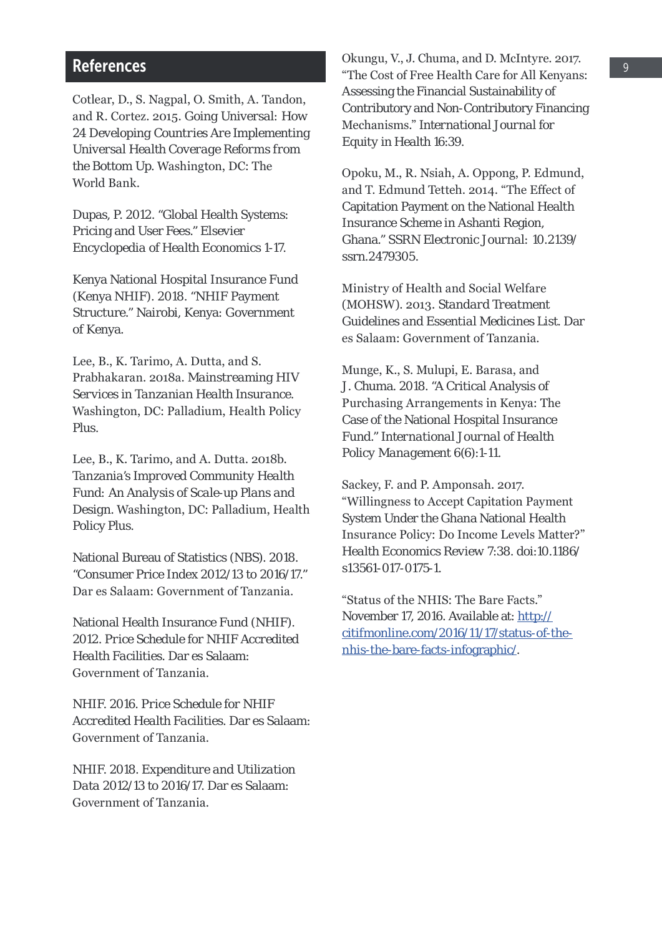#### References

Cotlear, D., S. Nagpal, O. Smith, A. Tandon, and R. Cortez. 2015. *Going Universal: How 24 Developing Countries Are Implementing Universal Health Coverage Reforms from the Bottom Up.* Washington, DC: The World Bank.

Dupas, P. 2012. "Global Health Systems: Pricing and User Fees." *Elsevier Encyclopedia of Health Economics* 1-17.

Kenya National Hospital Insurance Fund (Kenya NHIF). 2018. "NHIF Payment Structure." Nairobi, Kenya: Government of Kenya.

Lee, B., K. Tarimo, A. Dutta, and S. Prabhakaran. 2018a. *Mainstreaming HIV Services in Tanzanian Health Insurance.*  Washington, DC: Palladium, Health Policy Plus.

Lee, B., K. Tarimo, and A. Dutta. 2018b. *Tanzania's Improved Community Health Fund: An Analysis of Scale-up Plans and Design.* Washington, DC: Palladium, Health Policy Plus.

National Bureau of Statistics (NBS). 2018. "Consumer Price Index 2012/13 to 2016/17." Dar es Salaam: Government of Tanzania.

National Health Insurance Fund (NHIF). 2012. *Price Schedule for NHIF Accredited Health Facilities.* Dar es Salaam: Government of Tanzania.

NHIF. 2016. *Price Schedule for NHIF Accredited Health Facilities.* Dar es Salaam: Government of Tanzania.

NHIF. 2018. *Expenditure and Utilization Data 2012/13 to 2016/17.* Dar es Salaam: Government of Tanzania.

Okungu, V., J. Chuma, and D. McIntyre. 2017. "The Cost of Free Health Care for All Kenyans: Assessing the Financial Sustainability of Contributory and Non-Contributory Financing Mechanisms." *International Journal for Equity in Health* 16:39.

Opoku, M., R. Nsiah, A. Oppong, P. Edmund, and T. Edmund Tetteh. 2014. "The Effect of Capitation Payment on the National Health Insurance Scheme in Ashanti Region, Ghana." *SSRN Electronic Journal:* 10.2139/ ssrn.2479305.

Ministry of Health and Social Welfare (MOHSW). 2013. *Standard Treatment Guidelines and Essential Medicines List.* Dar es Salaam: Government of Tanzania.

Munge, K., S. Mulupi, E. Barasa, and J. Chuma. 2018. "A Critical Analysis of Purchasing Arrangements in Kenya: The Case of the National Hospital Insurance Fund." *International Journal of Health Policy Management* 6(6):1-11.

Sackey, F. and P. Amponsah. 2017. "Willingness to Accept Capitation Payment System Under the Ghana National Health Insurance Policy: Do Income Levels Matter?" *Health Economics Review* 7:38. doi:10.1186/ s13561-017-0175-1.

"Status of the NHIS: The Bare Facts." November 17, 2016. Available at: [http://](http://citifmonline.com/2016/11/17/status-of-the-nhis-the-bare-facts-infographic/) [citifmonline.com/2016/11/17/status-of-the](http://citifmonline.com/2016/11/17/status-of-the-nhis-the-bare-facts-infographic/)[nhis-the-bare-facts-infographic/](http://citifmonline.com/2016/11/17/status-of-the-nhis-the-bare-facts-infographic/).